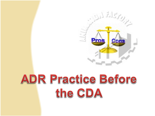

# ADR Practice Before the CDA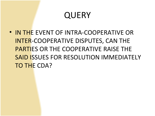• IN THE EVENT OF INTRA-COOPERATIVE OR INTER-COOPERATIVE DISPUTES, CAN THE PARTIES OR THE COOPERATIVE RAISE THE SAID ISSUES FOR RESOLUTION IMMEDIATELY TO THE CDA?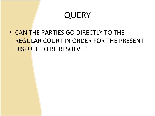• CAN THE PARTIES GO DIRECTLY TO THE REGULAR COURT IN ORDER FOR THE PRESENT DISPUTE TO BE RESOLVE?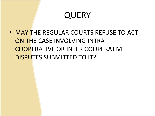• MAY THE REGULAR COURTS REFUSE TO ACT ON THE CASE INVOLVING INTRA-COOPERATIVE OR INTER COOPERATIVE DISPUTES SUBMITTED TO IT?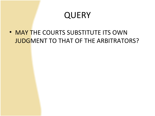• MAY THE COURTS SUBSTITUTE ITS OWN JUDGMENT TO THAT OF THE ARBITRATORS?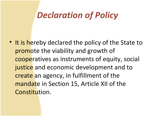# *Declaration of Policy*

• It is hereby declared the policy of the State to promote the viability and growth of cooperatives as instruments of equity, social justice and economic development and to create an agency, in fulfillment of the mandate in Section 15, Article XII of the Constitution.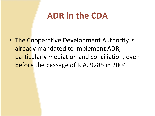## **ADR in the CDA**

• The Cooperative Development Authority is already mandated to implement ADR, particularly mediation and conciliation, even before the passage of R.A. 9285 in 2004.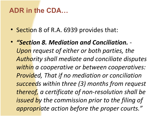### **ADR in the CDA…**

- Section 8 of R.A. 6939 provides that:
- *"Section 8. Mediation and Conciliation. Upon request of either or both parties, the Authority shall mediate and conciliate disputes within a cooperative or between cooperatives: Provided, That if no mediation or conciliation succeeds within three (3) months from request thereof, a certificate of non-resolution shall be issued by the commission prior to the filing of appropriate action before the proper courts."*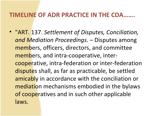### **TIMELINE OF ADR PRACTICE IN THE CDA…….**

• "ART. 137. *Settlement of Disputes, Conciliation, and Mediation Proceedings*. – Disputes among members, officers, directors, and committee members, and intra-cooperative, intercooperative, intra-federation or inter-federation disputes shall, as far as practicable, be settled amicably in accordance with the conciliation or mediation mechanisms embodied in the bylaws of cooperatives and in such other applicable laws.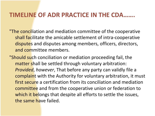### **TIMELINE OF ADR PRACTICE IN THE CDA…….**

- "The conciliation and mediation committee of the cooperative shall facilitate the amicable settlement of intra-cooperative disputes and disputes among members, officers, directors, and committee members.
- "Should such conciliation or mediation proceeding fail, the matter shall be settled through voluntary arbitration: *Provided*, *however*, That before any party can validly file a complaint with the Authority for voluntary arbitration, it must first secure a certification from its conciliation and mediation committee and from the cooperative union or federation to which it belongs that despite all efforts to settle the issues, the same have failed.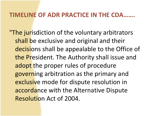### **TIMELINE OF ADR PRACTICE IN THE CDA…….**

"The jurisdiction of the voluntary arbitrators" shall be exclusive and original and their decisions shall be appealable to the Office of the President. The Authority shall issue and adopt the proper rules of procedure governing arbitration as the primary and exclusive mode for dispute resolution in accordance with the Alternative Dispute Resolution Act of 2004.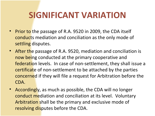# **SIGNIFICANT VARIATION**

- Prior to the passage of R.A. 9520 in 2009, the CDA itself conducts mediation and conciliation as the only mode of settling disputes.
- After the passage of R.A. 9520, mediation and conciliation is now being conducted at the primary cooperative and federation levels. In case of non-settlement, they shall issue a certificate of non-settlement to be attached by the parties concerned if they will file a request for Arbitration before the CDA.
- Accordingly, as much as possible, the CDA will no longer conduct mediation and conciliation at its level. Voluntary Arbitration shall be the primary and exclusive mode of resolving disputes before the CDA.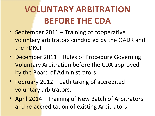# **VOLUNTARY ARBITRATION BEFORE THE CDA**

- September 2011 Training of cooperative voluntary arbitrators conducted by the OADR and the PDRCI.
- December 2011 Rules of Procedure Governing Voluntary Arbitration before the CDA approved by the Board of Administrators.
- February 2012 oath taking of accredited voluntary arbitrators.
- April 2014 Training of New Batch of Arbitrators and re-accreditation of existing Arbitrators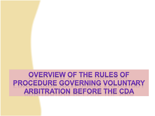### **OVERVIEW OF THE RULES OF PROCEDURE GOVERNING VOLUNTARY ARBITRATION BEFORE THE CDA**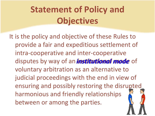# <span id="page-14-0"></span>**Statement of Policy and Objectives**

It is the policy and objective of these Rules to provide a fair and expeditious settlement of intra-cooperative and inter-cooperative disputes by way of an *institutional mode* of *[institutional mode](#Slide 157)*voluntary arbitration as an alternative to judicial proceedings with the end in view of ensuring and possibly restoring the disrupted harmonious and friendly relationships between or among the parties.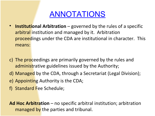### [ANNOTATIONS](#page-14-0)

- **Institutional Arbitration** governed by the rules of a specific arbitral institution and managed by it. Arbitration proceedings under the CDA are institutional in character. This means:
- c) The proceedings are primarily governed by the rules and administrative guidelines issued by the Authority;
- d) Managed by the CDA, through a Secretariat (Legal Division);
- e) Appointing Authority is the CDA;
- f) Standard Fee Schedule;

**Ad Hoc Arbitration** – no specific arbitral institution; arbitration managed by the parties and tribunal.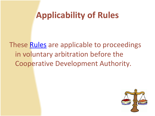# **Applicability of Rules**

These **Rules** are applicable to proceedings in voluntary arbitration before the Cooperative Development Authority.

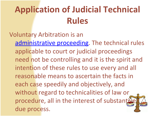# **Application of Judicial Technical Rules**

### Voluntary Arbitration is an

[administrative proceeding.](#Slide 159) The technical rules applicable to court or judicial proceedings need not be controlling and it is the spirit and intention of these rules to use every and all reasonable means to ascertain the facts in each case speedily and objectively, and without regard to technicalities of law or procedure, all in the interest of substantive due process.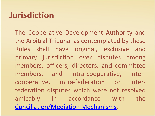# **Jurisdiction**

The Cooperative Development Authority and the Arbitral Tribunal as contemplated by these Rules shall have original, exclusive and primary jurisdiction over disputes among members, officers, directors, and committee members, and intra-cooperative, intercooperative, intra-federation or interfederation disputes which were not resolved amicably in accordance with the [Conciliation/Mediation Mechanisms.](#Slide 160)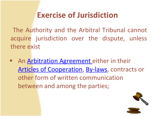## **Exercise of Jurisdiction**

<span id="page-19-0"></span>The Authority and the Arbitral Tribunal cannot acquire jurisdiction over the dispute, unless there exist

• An [Arbitration Agreement](#Slide 163) either in their [Articles of Cooperation,](#Slide 164) [By-laws,](#Slide 165) contracts or other form of written communication between and among the parties;



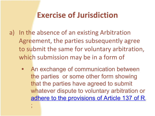### **Exercise of Jurisdiction**

- a) In the absence of an existing Arbitration Agreement, the parties subsequently agree to submit the same for voluntary arbitration, which submission may be in a form of
	- An exchange of communication between the parties or some other form showing that the parties have agreed to submit whatever dispute to voluntary arbitration or [adhere to the provisions of Article 137 of R.](#Slide 166)

;<br>;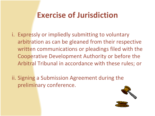## **Exercise of Jurisdiction**

- i. Expressly or impliedly submitting to voluntary arbitration as can be gleaned from their respective written communications or pleadings filed with the Cooperative Development Authority or before the Arbitral Tribunal in accordance with these rules; or
- ii. Signing a Submission Agreement during the preliminary conference.

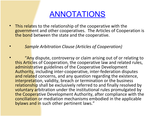### [ANNOTATIONS](#page-19-0)

- This relates to the relationship of the cooperative with the government and other cooperatives. The Articles of Cooperation is the bond between the state and the cooperative.
- *Sample Arbitration Clause (Articles of Cooperation)*
- "Any dispute, controversy or claim arising out of or relating to this Articles of Cooperation, the cooperative law and related rules, administrative guidelines of the Cooperative Development Authority, including inter-cooperative, inter-federation disputes and related concerns, and any question regarding the existence, interpretation, validity, breach or termination or the business relationship shall be exclusively referred to and finally resolved by voluntary arbitration under the institutional rules promulgated by the Cooperative Development Authority, after compliance with the conciliation or mediation mechanisms embodied in the applicable bylaws and in such other pertinent laws."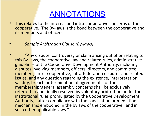### [ANNOTATIONS](#page-19-0)

- This relates to the internal and intra-cooperative concerns of the cooperative. The By-laws is the bond between the cooperative and its members and officers.
- *Sample Arbitration Clause (By-laws)*
- "Any dispute, controversy or claim arising out of or relating to this By-laws, the cooperative law and related rules, administrative guidelines of the Cooperative Development Authority, including disputes involving members, officers, directors, and committee members, intra-cooperative, intra-federation disputes and related issues, and any question regarding the existence, interpretation, validity, breach or termination of agreements, or the membership/general assembly concerns shall be exclusively referred to and finally resolved by voluntary arbitration under the institutional rules promulgated by the Cooperative Development Authority, , after compliance with the conciliation or mediation mechanisms embodied in the bylaws of the cooperative, and in such other applicable laws."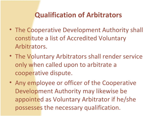### **Qualification of Arbitrators**

- The Cooperative Development Authority shall constitute a list of Accredited Voluntary Arbitrators.
- The Voluntary Arbitrators shall render service only when called upon to arbitrate a cooperative dispute.
- Any employee or officer of the Cooperative Development Authority may likewise be appointed as Voluntary Arbitrator if he/she possesses the necessary qualification.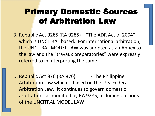## Primary Domestic Sources of Arbitration Law

- B. Republic Act 9285 (RA 9285) "The ADR Act of 2004" which is UNCITRAL based. For international arbitration, the UNCITRAL MODEL LAW was adopted as an Annex to the law and the "travaux preparatories" were expressly referred to in interpreting the same.
- D. Republic Act 876 (RA 876) The Philippine Arbitration Law which is based on the U.S. Federal Arbitration Law. It continues to govern domestic arbitrations as modified by RA 9285, including portions of the UNCITRAL MODEL LAW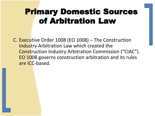## Primary Domestic Sources of Arbitration Law

C. Executive Order 1008 (EO 1008) – The Construction Industry Arbitration Law which created the Construction Industry Arbitration Commission ("CIAC"). EO 1008 governs construction arbitration and its rules are ICC-based.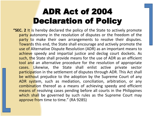# ADR Act of 2004 Declaration of Policy

**"SEC. 2** It is hereby declared the policy of the State to actively promote party autonomy in the resolution of disputes or the freedom of the party to make their own arrangements to resolve their disputes. Towards this end, the State shall encourage and actively promote the use of Alternative Dispute Resolution (ADR) as an important means to achieve speedy and impartial justice and declog court dockets. As such, the State shall provide means for the use of ADR as an efficient tool and an alternative procedure for the resolution of appropriate cases. Likewise, the State shall enlist active private sector participation in the settlement of disputes through ADR. This Act shall be without prejudice to the adoption by the Supreme Court of any ADR system, such as mediation, conciliation, arbitration, or any combination thereof as a means of achieving speedy and efficient means of resolving cases pending before all courts in the Philippines which shall be governed by such rules as the Supreme Court may approve from time to time." (RA 9285)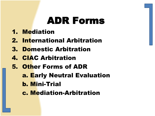# ADR Forms

- 1. Mediation
- 2. International Arbitration
- 3. Domestic Arbitration
- 4. CIAC Arbitration
- 5. Other Forms of ADR
	- **a. Early Neutral Evaluation**
	- b. Mini-Trial
	- c. Mediation-Arbitration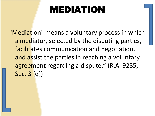# MEDIATION

"Mediation" means a voluntary process in which a mediator, selected by the disputing parties, facilitates communication and negotiation, and assist the parties in reaching a voluntary agreement regarding a dispute." (R.A. 9285, Sec. 3 [q])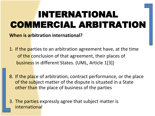# INTERNATIONAL COMMERCIAL ARBITRATION

**When is arbitration international?**

- 1. If the parties to an arbitration agreement have, at the time of the conclusion of that agreement, their places of business in different States. (UML, Article 1[3])
- 8. If the place of arbitration, contract performance, or the place of the subject matter of the dispute is situated in a State other than the place of business of the parties
- 3. The parties expressly agree that subject matter is international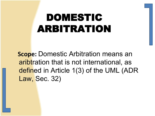# DOMESTIC ARBITRATION

 **Scope:** Domestic Arbitration means an aribtration that is not international, as defined in Article 1(3) of the UML (ADR Law, Sec. 32)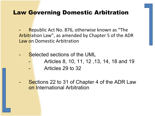#### Law Governing Domestic Arbitration

- **-** Republic Act No. 876, otherwise known as "The Arbitration Law", as amended by Chapter 5 of the ADR Law on Domestic Arbitration
- **Selected sections of the UML** 
	- Articles 8, 10, 11, 12 ,13, 14, 18 and 19
	- Articles 29 to 32
- Sections 22 to 31 of Chapter 4 of the ADR Law on International Arbitration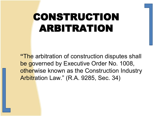# CONSTRUCTION ARBITRATION

**"**The arbitration of construction disputes shall be governed by Executive Order No. 1008, otherwise known as the Construction Industry Arbitration Law." (R.A. 9285, Sec. 34)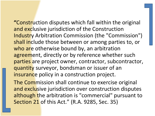**"**Construction disputes which fall within the original and exclusive jurisdiction of the Construction Industry Arbitration Commission (the "Commission") shall include those between or among parties to, or who are otherwise bound by, an arbitration agreement, directly or by reference whether such parties are project owner, contractor, subcontractor, quantity surveyor, bondsman or issuer of an insurance policy in a construction project.

The Commission shall continue to exercise original and exclusive jurisdiction over construction disputes although the arbitration is "commercial" pursuant to Section 21 of this Act." (R.A. 9285, Sec. 35)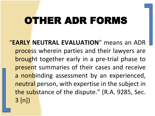# OTHER ADR FORMS

"**EARLY NEUTRAL EVALUATION**" means an ADR process wherein parties and their lawyers are brought together early in a pre-trial phase to present summaries of their cases and receive a nonbinding assessment by an experienced, neutral person, with expertise in the subject in the substance of the dispute." (R.A. 9285, Sec. 3 [n])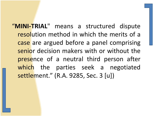"**MINI-TRIAL**" means a structured dispute resolution method in which the merits of a case are argued before a panel comprising senior decision makers with or without the presence of a neutral third person after which the parties seek a negotiated settlement." (R.A. 9285, Sec. 3 [u])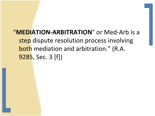### "**MEDIATION-ARBITRATION**" or Med-Arb is a step dispute resolution process involving both mediation and arbitration." (R.A. 9285, Sec. 3 [f])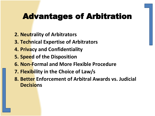- **2. Neutrality of Arbitrators**
- **3. Technical Expertise of Arbitrators**
- **4. Privacy and Confidentiality**
- **5. Speed of the Disposition**
- **6. Non-Formal and More Flexible Procedure**
- **7. Flexibility in the Choice of Law/s**
- **8. Better Enforcement of Arbitral Awards vs. Judicial Decisions**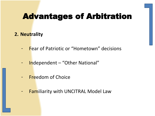#### **2. Neutrality**

- Fear of Patriotic or "Hometown" decisions
- Independent "Other National"
- Freedom of Choice
- Familiarity with UNCITRAL Model Law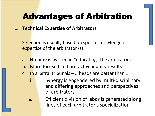#### **1. Technical Expertise of Arbitrators**

Selection is usually based on special knowledge or expertise of the arbitrator (s)

- a. No time is wasted in "educating" the arbitrators
- b. More focused and pro-active inquiry results
- c. In arbitral tribunals  $-$  3 heads are better than 1.
	- i. Synergy is engendered by multi-disciplinary and differing approaches and perspectives of arbitrators

ii. **Efficient division of labor is generated along** lines of each arbitrator's specialization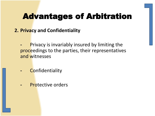#### **2. Privacy and Confidentiality**

- **-** Privacy is invariably insured by limiting the proceedings to the parties, their representatives and witnesses
- **-** Confidentiality
- **-** Protective orders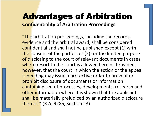### Advantages of Arbitration **Confidentiality of Arbitration Proceedings**

**"**The arbitration proceedings, including the records, evidence and the arbitral award, shall be considered confidential and shall not be published except (1) with the consent of the parties, or (2) for the limited purpose of disclosing to the court of relevant documents in cases where resort to the court is allowed herein. Provided, however, that the court in which the action or the appeal is pending may issue a protective order to prevent or prohibit disclosure of documents or information containing secret processes, developments, research and other information where it is shown that the applicant shall be materially prejudiced by an authorized disclosure thereof." (R.A. 9285, Section 23)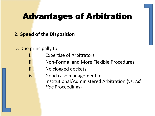#### **2. Speed of the Disposition**

#### D. Due principally to

- i. **Expertise of Arbitrators**
- ii. Non-Formal and More Flexible Procedures
- iii. No clogged dockets
- iv. Good case management in Institutional/Administered Arbitration (vs. *Ad Hoc* Proceedings)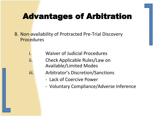- B. Non-availability of Protracted Pre-Trial Discovery Procedures
	- i. Waiver of Judicial Procedures
	- ii. Check Applicable Rules/Law on Available/Limited Modes
	- iii. Arbitrator's Discretion/Sanctions
		- Lack of Coercive Power
		- Voluntary Compliance/Adverse Inference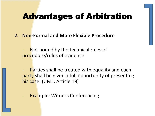- **2. Non-Formal and More Flexible Procedure**
	- Not bound by the technical rules of procedure/rules of evidence
	- Parties shall be treated with equality and each party shall be given a full opportunity of presenting his case. (UML, Article 18)
	- **Example: Witness Conferencing**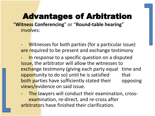"**Witness Conferencing**" or "**Round-table hearing**" involves:

Witnesses for both parties (for a particular issue) are required to be present and exchange testimony

In response to a specific question on a disputed issue, the arbitrator will allow the witnesses to exchange testimony (giving each party equal time and opportunity to do so) until he is satisfied that both parties have sufficiently stated their opposing views/evidence on said issue.

The lawyers will conduct their examination, crossexamination, re-direct, and re-cross after arbitrators have finished their clarification.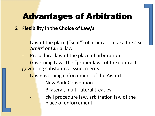### **6. Flexibility in the Choice of Law/s**

- Law of the place ("seat") of arbitration; aka the Lex *Arbitri* or Curial law
- **Procedural law of the place of arbitration**
- Governing Law: The "proper law" of the contract governing substantive issue, merits
- Law governing enforcement of the Award
	- New York Convention
	- Bilateral, multi-lateral treaties
		- civil procedure law, arbitration law of the place of enforcement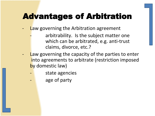- Law governing the Arbitration agreement
	- arbitrability. Is the subject matter one which can be arbitrated, e.g. anti-trust claims, divorce, etc.?
- Law governing the capacity of the parties to enter into agreements to arbitrate (restriction imposed by domestic law)
	- state agencies
		- age of party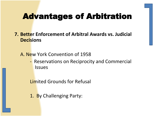- **7. Better Enforcement of Arbitral Awards vs. Judicial Decisions**
	- A. New York Convention of 1958
		- Reservations on Reciprocity and Commercial **Issues**

Limited Grounds for Refusal

1. By Challenging Party: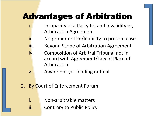- i. Incapacity of a Party to, and Invalidity of, Arbitration Agreement
- i. No proper notice/Inability to present case
- ii. Beyond Scope of Arbitration Agreement
- iv. Composition of Arbitral Tribunal not in accord with Agreement/Law of Place of Arbitration
- v. Award not yet binding or final
- 2. By Court of Enforcement Forum
	- i. Non-arbitrable matters
	- ii. Contrary to Public Policy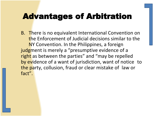B. There is no equivalent International Convention on the Enforcement of Judicial decisions similar to the NY Convention. In the Philippines, a foreign judgment is merely a "presumptive evidence of a right as between the parties" and "may be repelled by evidence of a want of jurisdiction, want of notice to the party, collusion, fraud or clear mistake of law or fact".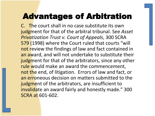C. The court shall in no case substitute its own judgment for that of the arbitral tribunal. See *Asset Privatization Trust v. Court of Appeals*, 300 SCRA 579 (1998) where the Court ruled that courts "will not review the findings of law and fact contained in an award, and will not undertake to substitute their judgment for that of the arbitrators, since any other rule would make an award the commencement, not the end, of litigation. Errors of law and fact, or an erroneous decision on matters submitted to the judgment of the arbitrators, are insufficient to invalidate an award fairly and honestly made." 300 SCRA at 601-602.